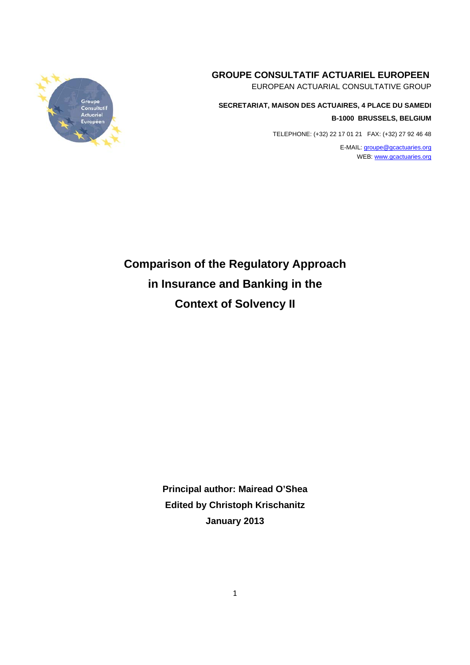# **GROUPE CONSULTATIF ACTUARIEL EUROPEEN**

EUROPEAN ACTUARIAL CONSULTATIVE GROUP

**SECRETARIAT, MAISON DES ACTUAIRES, 4 PLACE DU SAMEDI B-1000 BRUSSELS, BELGIUM**

TELEPHONE: (+32) 22 17 01 21 FAX: (+32) 27 92 46 48

E-MAIL: groupe@gcactuaries.org WEB: www.gcactuaries.org



**Comparison of the Regulatory Approach in Insurance and Banking in the Context of Solvency II** 

> **Principal author: Mairead O'Shea Edited by Christoph Krischanitz January 2013**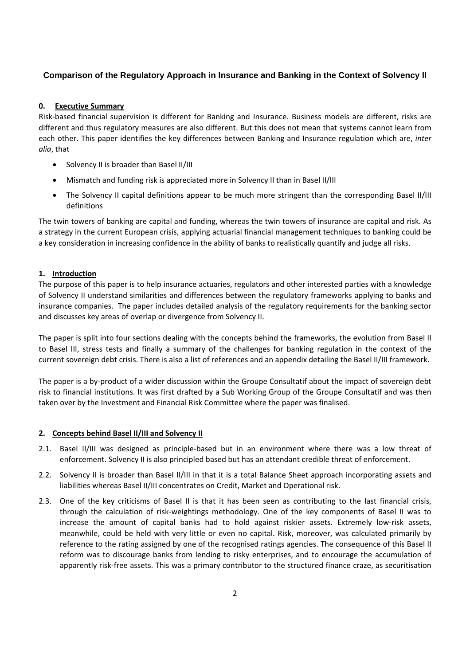# **Comparison of the Regulatory Approach in Insurance and Banking in the Context of Solvency II**

### **0. Executive Summary**

Risk‐based financial supervision is different for Banking and Insurance. Business models are different, risks are different and thus regulatory measures are also different. But this does not mean that systems cannot learn from each other. This paper identifies the key differences between Banking and Insurance regulation which are, *inter alia*, that

- Solvency II is broader than Basel II/III
- Mismatch and funding risk is appreciated more in Solvency II than in Basel II/III
- The Solvency II capital definitions appear to be much more stringent than the corresponding Basel II/III definitions

The twin towers of banking are capital and funding, whereas the twin towers of insurance are capital and risk. As a strategy in the current European crisis, applying actuarial financial management techniques to banking could be a key consideration in increasing confidence in the ability of banks to realistically quantify and judge all risks.

### **1. Introduction**

The purpose of this paper is to help insurance actuaries, regulators and other interested parties with a knowledge of Solvency II understand similarities and differences between the regulatory frameworks applying to banks and insurance companies. The paper includes detailed analysis of the regulatory requirements for the banking sector and discusses key areas of overlap or divergence from Solvency II.

The paper is split into four sections dealing with the concepts behind the frameworks, the evolution from Basel II to Basel III, stress tests and finally a summary of the challenges for banking regulation in the context of the current sovereign debt crisis. There is also a list of references and an appendix detailing the Basel II/III framework.

The paper is a by‐product of a wider discussion within the Groupe Consultatif about the impact of sovereign debt risk to financial institutions. It was first drafted by a Sub Working Group of the Groupe Consultatif and was then taken over by the Investment and Financial Risk Committee where the paper was finalised.

### **2. Concepts behind Basel II/III and Solvency II**

- 2.1. Basel II/III was designed as principle-based but in an environment where there was a low threat of enforcement. Solvency II is also principled based but has an attendant credible threat of enforcement.
- 2.2. Solvency II is broader than Basel II/III in that it is a total Balance Sheet approach incorporating assets and liabilities whereas Basel II/III concentrates on Credit, Market and Operational risk.
- 2.3. One of the key criticisms of Basel II is that it has been seen as contributing to the last financial crisis, through the calculation of risk‐weightings methodology. One of the key components of Basel II was to increase the amount of capital banks had to hold against riskier assets. Extremely low‐risk assets, meanwhile, could be held with very little or even no capital. Risk, moreover, was calculated primarily by reference to the rating assigned by one of the recognised ratings agencies. The consequence of this Basel II reform was to discourage banks from lending to risky enterprises, and to encourage the accumulation of apparently risk‐free assets. This was a primary contributor to the structured finance craze, as securitisation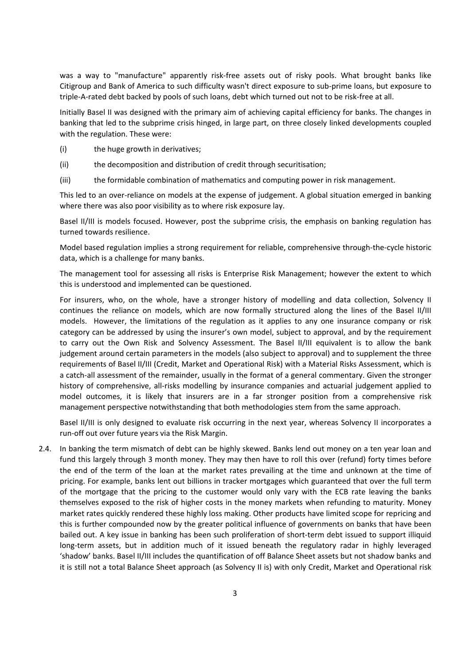was a way to "manufacture" apparently risk-free assets out of risky pools. What brought banks like Citigroup and Bank of America to such difficulty wasn't direct exposure to sub‐prime loans, but exposure to triple‐A‐rated debt backed by pools of such loans, debt which turned out not to be risk‐free at all.

Initially Basel II was designed with the primary aim of achieving capital efficiency for banks. The changes in banking that led to the subprime crisis hinged, in large part, on three closely linked developments coupled with the regulation. These were:

- (i) the huge growth in derivatives;
- (ii) the decomposition and distribution of credit through securitisation;
- (iii) the formidable combination of mathematics and computing power in risk management.

This led to an over-reliance on models at the expense of judgement. A global situation emerged in banking where there was also poor visibility as to where risk exposure lay.

Basel II/III is models focused. However, post the subprime crisis, the emphasis on banking regulation has turned towards resilience.

Model based regulation implies a strong requirement for reliable, comprehensive through‐the‐cycle historic data, which is a challenge for many banks.

The management tool for assessing all risks is Enterprise Risk Management; however the extent to which this is understood and implemented can be questioned.

For insurers, who, on the whole, have a stronger history of modelling and data collection, Solvency II continues the reliance on models, which are now formally structured along the lines of the Basel II/III models. However, the limitations of the regulation as it applies to any one insurance company or risk category can be addressed by using the insurer's own model, subject to approval, and by the requirement to carry out the Own Risk and Solvency Assessment. The Basel II/III equivalent is to allow the bank judgement around certain parameters in the models (also subject to approval) and to supplement the three requirements of Basel II/III (Credit, Market and Operational Risk) with a Material Risks Assessment, which is a catch-all assessment of the remainder, usually in the format of a general commentary. Given the stronger history of comprehensive, all‐risks modelling by insurance companies and actuarial judgement applied to model outcomes, it is likely that insurers are in a far stronger position from a comprehensive risk management perspective notwithstanding that both methodologies stem from the same approach.

Basel II/III is only designed to evaluate risk occurring in the next year, whereas Solvency II incorporates a run‐off out over future years via the Risk Margin.

2.4. In banking the term mismatch of debt can be highly skewed. Banks lend out money on a ten year loan and fund this largely through 3 month money. They may then have to roll this over (refund) forty times before the end of the term of the loan at the market rates prevailing at the time and unknown at the time of pricing. For example, banks lent out billions in tracker mortgages which guaranteed that over the full term of the mortgage that the pricing to the customer would only vary with the ECB rate leaving the banks themselves exposed to the risk of higher costs in the money markets when refunding to maturity. Money market rates quickly rendered these highly loss making. Other products have limited scope for repricing and this is further compounded now by the greater political influence of governments on banks that have been bailed out. A key issue in banking has been such proliferation of short-term debt issued to support illiquid long-term assets, but in addition much of it issued beneath the regulatory radar in highly leveraged 'shadow' banks. Basel II/III includes the quantification of off Balance Sheet assets but not shadow banks and it is still not a total Balance Sheet approach (as Solvency II is) with only Credit, Market and Operational risk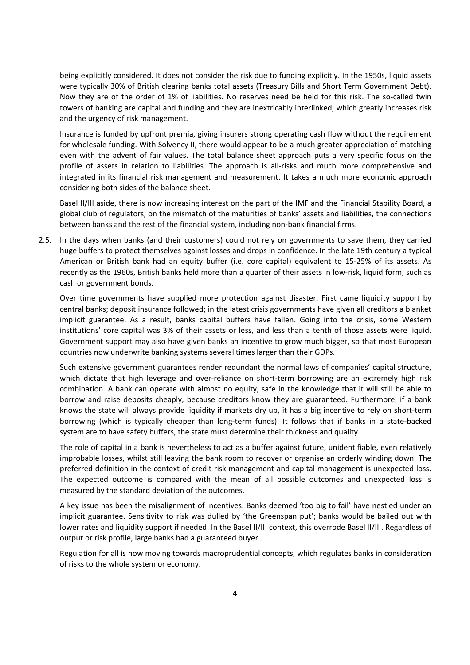being explicitly considered. It does not consider the risk due to funding explicitly. In the 1950s, liquid assets were typically 30% of British clearing banks total assets (Treasury Bills and Short Term Government Debt). Now they are of the order of 1% of liabilities. No reserves need be held for this risk. The so-called twin towers of banking are capital and funding and they are inextricably interlinked, which greatly increases risk and the urgency of risk management.

Insurance is funded by upfront premia, giving insurers strong operating cash flow without the requirement for wholesale funding. With Solvency II, there would appear to be a much greater appreciation of matching even with the advent of fair values. The total balance sheet approach puts a very specific focus on the profile of assets in relation to liabilities. The approach is all‐risks and much more comprehensive and integrated in its financial risk management and measurement. It takes a much more economic approach considering both sides of the balance sheet.

Basel II/III aside, there is now increasing interest on the part of the IMF and the Financial Stability Board, a global club of regulators, on the mismatch of the maturities of banks' assets and liabilities, the connections between banks and the rest of the financial system, including non‐bank financial firms.

2.5. In the days when banks (and their customers) could not rely on governments to save them, they carried huge buffers to protect themselves against losses and drops in confidence. In the late 19th century a typical American or British bank had an equity buffer (i.e. core capital) equivalent to 15‐25% of its assets. As recently as the 1960s, British banks held more than a quarter of their assets in low-risk, liquid form, such as cash or government bonds.

Over time governments have supplied more protection against disaster. First came liquidity support by central banks; deposit insurance followed; in the latest crisis governments have given all creditors a blanket implicit guarantee. As a result, banks capital buffers have fallen. Going into the crisis, some Western institutions' core capital was 3% of their assets or less, and less than a tenth of those assets were liquid. Government support may also have given banks an incentive to grow much bigger, so that most European countries now underwrite banking systems several times larger than their GDPs.

Such extensive government guarantees render redundant the normal laws of companies' capital structure, which dictate that high leverage and over-reliance on short-term borrowing are an extremely high risk combination. A bank can operate with almost no equity, safe in the knowledge that it will still be able to borrow and raise deposits cheaply, because creditors know they are guaranteed. Furthermore, if a bank knows the state will always provide liquidity if markets dry up, it has a big incentive to rely on short‐term borrowing (which is typically cheaper than long‐term funds). It follows that if banks in a state‐backed system are to have safety buffers, the state must determine their thickness and quality.

The role of capital in a bank is nevertheless to act as a buffer against future, unidentifiable, even relatively improbable losses, whilst still leaving the bank room to recover or organise an orderly winding down. The preferred definition in the context of credit risk management and capital management is unexpected loss. The expected outcome is compared with the mean of all possible outcomes and unexpected loss is measured by the standard deviation of the outcomes.

A key issue has been the misalignment of incentives. Banks deemed 'too big to fail' have nestled under an implicit guarantee. Sensitivity to risk was dulled by 'the Greenspan put'; banks would be bailed out with lower rates and liquidity support if needed. In the Basel II/III context, this overrode Basel II/III. Regardless of output or risk profile, large banks had a guaranteed buyer.

Regulation for all is now moving towards macroprudential concepts, which regulates banks in consideration of risks to the whole system or economy.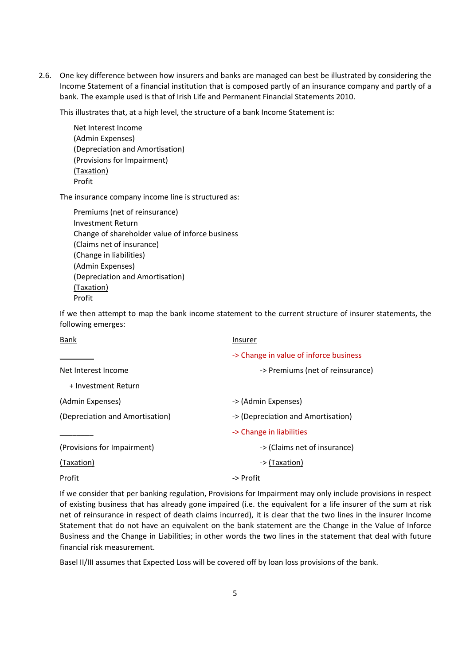2.6. One key difference between how insurers and banks are managed can best be illustrated by considering the Income Statement of a financial institution that is composed partly of an insurance company and partly of a bank. The example used is that of Irish Life and Permanent Financial Statements 2010.

This illustrates that, at a high level, the structure of a bank Income Statement is:

Net Interest Income (Admin Expenses) (Depreciation and Amortisation) (Provisions for Impairment) (Taxation) Profit

The insurance company income line is structured as:

Premiums (net of reinsurance) Investment Return Change of shareholder value of inforce business (Claims net of insurance) (Change in liabilities) (Admin Expenses) (Depreciation and Amortisation) (Taxation) Profit

If we then attempt to map the bank income statement to the current structure of insurer statements, the following emerges:

| <b>Bank</b>                     | Insurer                                |
|---------------------------------|----------------------------------------|
|                                 | -> Change in value of inforce business |
| Net Interest Income             | -> Premiums (net of reinsurance)       |
| + Investment Return             |                                        |
| (Admin Expenses)                | -> (Admin Expenses)                    |
| (Depreciation and Amortisation) | -> (Depreciation and Amortisation)     |
|                                 | -> Change in liabilities               |
| (Provisions for Impairment)     | -> (Claims net of insurance)           |
| (Taxation)                      | -> (Taxation)                          |
| Profit                          | -> Profit                              |

If we consider that per banking regulation, Provisions for Impairment may only include provisions in respect of existing business that has already gone impaired (i.e. the equivalent for a life insurer of the sum at risk net of reinsurance in respect of death claims incurred), it is clear that the two lines in the insurer Income Statement that do not have an equivalent on the bank statement are the Change in the Value of Inforce Business and the Change in Liabilities; in other words the two lines in the statement that deal with future financial risk measurement.

Basel II/III assumes that Expected Loss will be covered off by loan loss provisions of the bank.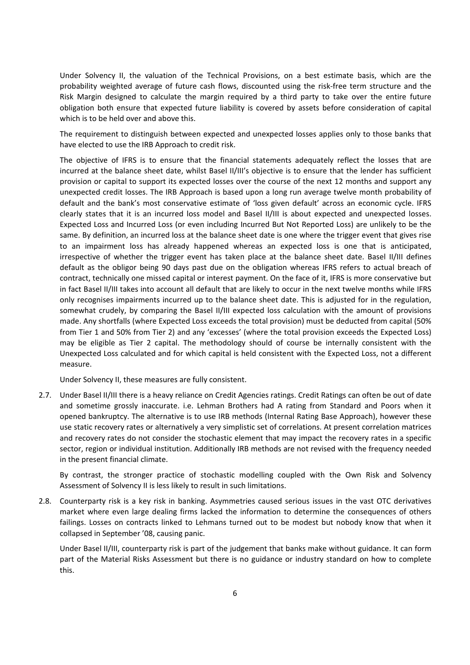Under Solvency II, the valuation of the Technical Provisions, on a best estimate basis, which are the probability weighted average of future cash flows, discounted using the risk‐free term structure and the Risk Margin designed to calculate the margin required by a third party to take over the entire future obligation both ensure that expected future liability is covered by assets before consideration of capital which is to be held over and above this.

The requirement to distinguish between expected and unexpected losses applies only to those banks that have elected to use the IRB Approach to credit risk.

The objective of IFRS is to ensure that the financial statements adequately reflect the losses that are incurred at the balance sheet date, whilst Basel II/III's objective is to ensure that the lender has sufficient provision or capital to support its expected losses over the course of the next 12 months and support any unexpected credit losses. The IRB Approach is based upon a long run average twelve month probability of default and the bank's most conservative estimate of 'loss given default' across an economic cycle. IFRS clearly states that it is an incurred loss model and Basel II/III is about expected and unexpected losses. Expected Loss and Incurred Loss (or even including Incurred But Not Reported Loss) are unlikely to be the same. By definition, an incurred loss at the balance sheet date is one where the trigger event that gives rise to an impairment loss has already happened whereas an expected loss is one that is anticipated, irrespective of whether the trigger event has taken place at the balance sheet date. Basel II/III defines default as the obligor being 90 days past due on the obligation whereas IFRS refers to actual breach of contract, technically one missed capital or interest payment. On the face of it, IFRS is more conservative but in fact Basel II/III takes into account all default that are likely to occur in the next twelve months while IFRS only recognises impairments incurred up to the balance sheet date. This is adjusted for in the regulation, somewhat crudely, by comparing the Basel II/III expected loss calculation with the amount of provisions made. Any shortfalls (where Expected Loss exceeds the total provision) must be deducted from capital (50% from Tier 1 and 50% from Tier 2) and any 'excesses' (where the total provision exceeds the Expected Loss) may be eligible as Tier 2 capital. The methodology should of course be internally consistent with the Unexpected Loss calculated and for which capital is held consistent with the Expected Loss, not a different measure.

Under Solvency II, these measures are fully consistent.

2.7. Under Basel II/III there is a heavy reliance on Credit Agencies ratings. Credit Ratings can often be out of date and sometime grossly inaccurate. i.e. Lehman Brothers had A rating from Standard and Poors when it opened bankruptcy. The alternative is to use IRB methods (Internal Rating Base Approach), however these use static recovery rates or alternatively a very simplistic set of correlations. At present correlation matrices and recovery rates do not consider the stochastic element that may impact the recovery rates in a specific sector, region or individual institution. Additionally IRB methods are not revised with the frequency needed in the present financial climate.

By contrast, the stronger practice of stochastic modelling coupled with the Own Risk and Solvency Assessment of Solvency II is less likely to result in such limitations.

2.8. Counterparty risk is a key risk in banking. Asymmetries caused serious issues in the vast OTC derivatives market where even large dealing firms lacked the information to determine the consequences of others failings. Losses on contracts linked to Lehmans turned out to be modest but nobody know that when it collapsed in September '08, causing panic.

Under Basel II/III, counterparty risk is part of the judgement that banks make without guidance. It can form part of the Material Risks Assessment but there is no guidance or industry standard on how to complete this.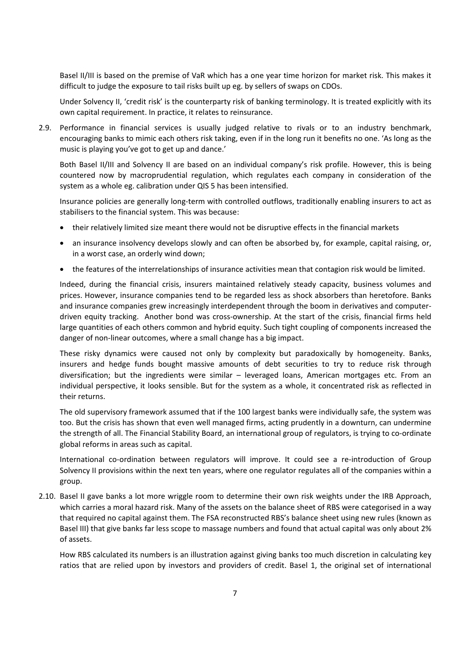Basel II/III is based on the premise of VaR which has a one year time horizon for market risk. This makes it difficult to judge the exposure to tail risks built up eg. by sellers of swaps on CDOs.

Under Solvency II, 'credit risk' is the counterparty risk of banking terminology. It is treated explicitly with its own capital requirement. In practice, it relates to reinsurance.

2.9. Performance in financial services is usually judged relative to rivals or to an industry benchmark, encouraging banks to mimic each others risk taking, even if in the long run it benefits no one. 'As long as the music is playing you've got to get up and dance.'

Both Basel II/III and Solvency II are based on an individual company's risk profile. However, this is being countered now by macroprudential regulation, which regulates each company in consideration of the system as a whole eg. calibration under QIS 5 has been intensified.

Insurance policies are generally long‐term with controlled outflows, traditionally enabling insurers to act as stabilisers to the financial system. This was because:

- their relatively limited size meant there would not be disruptive effects in the financial markets
- an insurance insolvency develops slowly and can often be absorbed by, for example, capital raising, or, in a worst case, an orderly wind down;
- the features of the interrelationships of insurance activities mean that contagion risk would be limited.

Indeed, during the financial crisis, insurers maintained relatively steady capacity, business volumes and prices. However, insurance companies tend to be regarded less as shock absorbers than heretofore. Banks and insurance companies grew increasingly interdependent through the boom in derivatives and computer‐ driven equity tracking. Another bond was cross‐ownership. At the start of the crisis, financial firms held large quantities of each others common and hybrid equity. Such tight coupling of components increased the danger of non‐linear outcomes, where a small change has a big impact.

These risky dynamics were caused not only by complexity but paradoxically by homogeneity. Banks, insurers and hedge funds bought massive amounts of debt securities to try to reduce risk through diversification; but the ingredients were similar – leveraged loans, American mortgages etc. From an individual perspective, it looks sensible. But for the system as a whole, it concentrated risk as reflected in their returns.

The old supervisory framework assumed that if the 100 largest banks were individually safe, the system was too. But the crisis has shown that even well managed firms, acting prudently in a downturn, can undermine the strength of all. The Financial Stability Board, an international group of regulators, is trying to co-ordinate global reforms in areas such as capital.

International co-ordination between regulators will improve. It could see a re-introduction of Group Solvency II provisions within the next ten years, where one regulator regulates all of the companies within a group.

2.10. Basel II gave banks a lot more wriggle room to determine their own risk weights under the IRB Approach, which carries a moral hazard risk. Many of the assets on the balance sheet of RBS were categorised in a way that required no capital against them. The FSA reconstructed RBS's balance sheet using new rules (known as Basel III) that give banks far less scope to massage numbers and found that actual capital was only about 2% of assets.

How RBS calculated its numbers is an illustration against giving banks too much discretion in calculating key ratios that are relied upon by investors and providers of credit. Basel 1, the original set of international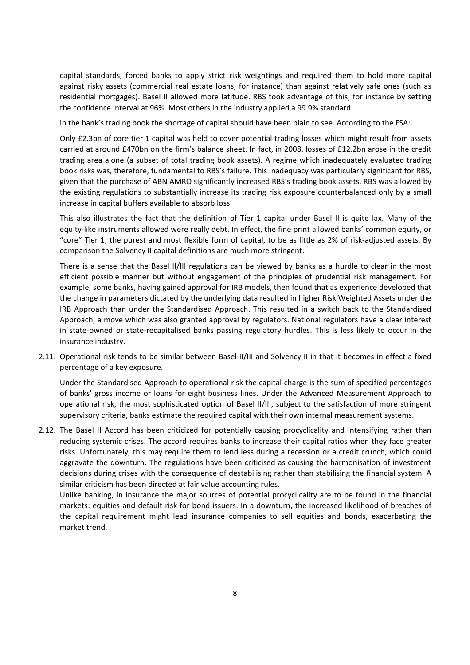capital standards, forced banks to apply strict risk weightings and required them to hold more capital against risky assets (commercial real estate loans, for instance) than against relatively safe ones (such as residential mortgages). Basel II allowed more latitude. RBS took advantage of this, for instance by setting the confidence interval at 96%. Most others in the industry applied a 99.9% standard.

In the bank's trading book the shortage of capital should have been plain to see. According to the FSA:

Only £2.3bn of core tier 1 capital was held to cover potential trading losses which might result from assets carried at around £470bn on the firm's balance sheet. In fact, in 2008, losses of £12.2bn arose in the credit trading area alone (a subset of total trading book assets). A regime which inadequately evaluated trading book risks was, therefore, fundamental to RBS's failure. This inadequacy was particularly significant for RBS, given that the purchase of ABN AMRO significantly increased RBS's trading book assets. RBS was allowed by the existing regulations to substantially increase its trading risk exposure counterbalanced only by a small increase in capital buffers available to absorb loss.

This also illustrates the fact that the definition of Tier 1 capital under Basel II is quite lax. Many of the equity‐like instruments allowed were really debt. In effect, the fine print allowed banks' common equity, or "core" Tier 1, the purest and most flexible form of capital, to be as little as 2% of risk‐adjusted assets. By comparison the Solvency II capital definitions are much more stringent.

There is a sense that the Basel II/III regulations can be viewed by banks as a hurdle to clear in the most efficient possible manner but without engagement of the principles of prudential risk management. For example, some banks, having gained approval for IRB models, then found that as experience developed that the change in parameters dictated by the underlying data resulted in higher Risk Weighted Assets under the IRB Approach than under the Standardised Approach. This resulted in a switch back to the Standardised Approach, a move which was also granted approval by regulators. National regulators have a clear interest in state‐owned or state‐recapitalised banks passing regulatory hurdles. This is less likely to occur in the insurance industry.

2.11. Operational risk tends to be similar between Basel II/III and Solvency II in that it becomes in effect a fixed percentage of a key exposure.

Under the Standardised Approach to operational risk the capital charge is the sum of specified percentages of banks' gross income or loans for eight business lines. Under the Advanced Measurement Approach to operational risk, the most sophisticated option of Basel II/III, subject to the satisfaction of more stringent supervisory criteria, banks estimate the required capital with their own internal measurement systems.

2.12. The Basel II Accord has been criticized for potentially causing procyclicality and intensifying rather than reducing systemic crises. The accord requires banks to increase their capital ratios when they face greater risks. Unfortunately, this may require them to lend less during a recession or a credit crunch, which could aggravate the downturn. The regulations have been criticised as causing the harmonisation of investment decisions during crises with the consequence of destabilising rather than stabilising the financial system. A similar criticism has been directed at fair value accounting rules.

Unlike banking, in insurance the major sources of potential procyclicality are to be found in the financial markets: equities and default risk for bond issuers. In a downturn, the increased likelihood of breaches of the capital requirement might lead insurance companies to sell equities and bonds, exacerbating the market trend.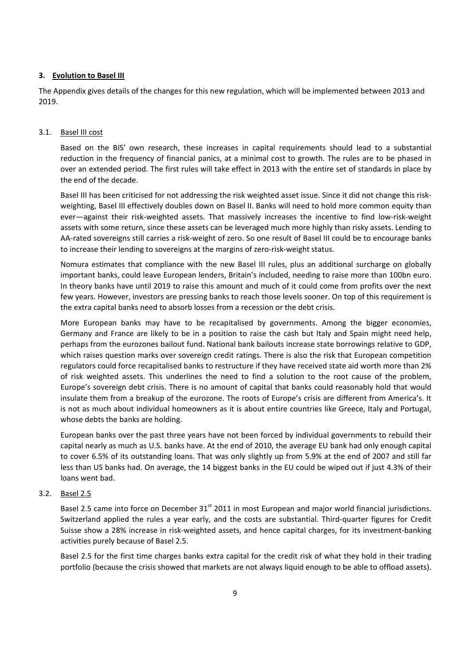#### **3. Evolution to Basel III**

The Appendix gives details of the changes for this new regulation, which will be implemented between 2013 and 2019.

#### 3.1. Basel III cost

Based on the BIS' own research, these increases in capital requirements should lead to a substantial reduction in the frequency of financial panics, at a minimal cost to growth. The rules are to be phased in over an extended period. The first rules will take effect in 2013 with the entire set of standards in place by the end of the decade.

Basel III has been criticised for not addressing the risk weighted asset issue. Since it did not change this risk‐ weighting, Basel III effectively doubles down on Basel II. Banks will need to hold more common equity than ever—against their risk‐weighted assets. That massively increases the incentive to find low‐risk‐weight assets with some return, since these assets can be leveraged much more highly than risky assets. Lending to AA‐rated sovereigns still carries a risk‐weight of zero. So one result of Basel III could be to encourage banks to increase their lending to sovereigns at the margins of zero‐risk‐weight status.

Nomura estimates that compliance with the new Basel III rules, plus an additional surcharge on globally important banks, could leave European lenders, Britain's included, needing to raise more than 100bn euro. In theory banks have until 2019 to raise this amount and much of it could come from profits over the next few years. However, investors are pressing banks to reach those levels sooner. On top of this requirement is the extra capital banks need to absorb losses from a recession or the debt crisis.

More European banks may have to be recapitalised by governments. Among the bigger economies, Germany and France are likely to be in a position to raise the cash but Italy and Spain might need help, perhaps from the eurozones bailout fund. National bank bailouts increase state borrowings relative to GDP, which raises question marks over sovereign credit ratings. There is also the risk that European competition regulators could force recapitalised banks to restructure if they have received state aid worth more than 2% of risk weighted assets. This underlines the need to find a solution to the root cause of the problem, Europe's sovereign debt crisis. There is no amount of capital that banks could reasonably hold that would insulate them from a breakup of the eurozone. The roots of Europe's crisis are different from America's. It is not as much about individual homeowners as it is about entire countries like Greece, Italy and Portugal, whose debts the banks are holding.

European banks over the past three years have not been forced by individual governments to rebuild their capital nearly as much as U.S. banks have. At the end of 2010, the average EU bank had only enough capital to cover 6.5% of its outstanding loans. That was only slightly up from 5.9% at the end of 2007 and still far less than US banks had. On average, the 14 biggest banks in the EU could be wiped out if just 4.3% of their loans went bad.

#### 3.2. Basel 2.5

Basel 2.5 came into force on December 31<sup>st</sup> 2011 in most European and major world financial jurisdictions. Switzerland applied the rules a year early, and the costs are substantial. Third‐quarter figures for Credit Suisse show a 28% increase in risk‐weighted assets, and hence capital charges, for its investment‐banking activities purely because of Basel 2.5.

Basel 2.5 for the first time charges banks extra capital for the credit risk of what they hold in their trading portfolio (because the crisis showed that markets are not always liquid enough to be able to offload assets).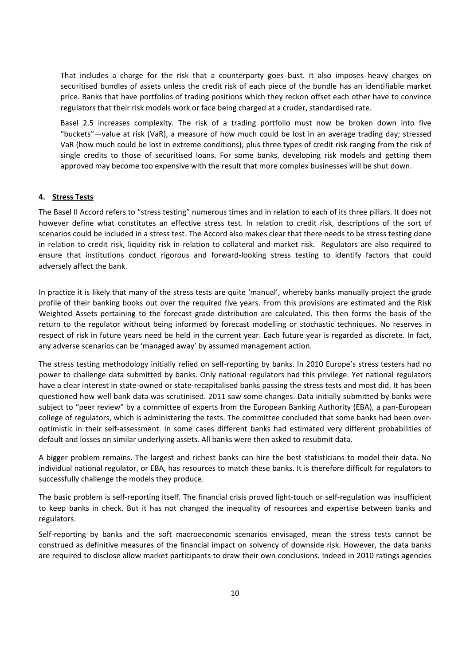That includes a charge for the risk that a counterparty goes bust. It also imposes heavy charges on securitised bundles of assets unless the credit risk of each piece of the bundle has an identifiable market price. Banks that have portfolios of trading positions which they reckon offset each other have to convince regulators that their risk models work or face being charged at a cruder, standardised rate.

Basel 2.5 increases complexity. The risk of a trading portfolio must now be broken down into five "buckets"—value at risk (VaR), a measure of how much could be lost in an average trading day; stressed VaR (how much could be lost in extreme conditions); plus three types of credit risk ranging from the risk of single credits to those of securitised loans. For some banks, developing risk models and getting them approved may become too expensive with the result that more complex businesses will be shut down.

### **4. Stress Tests**

The Basel II Accord refers to "stress testing" numerous times and in relation to each of its three pillars. It does not however define what constitutes an effective stress test. In relation to credit risk, descriptions of the sort of scenarios could be included in a stress test. The Accord also makes clear that there needs to be stress testing done in relation to credit risk, liquidity risk in relation to collateral and market risk. Regulators are also required to ensure that institutions conduct rigorous and forward-looking stress testing to identify factors that could adversely affect the bank.

In practice it is likely that many of the stress tests are quite 'manual', whereby banks manually project the grade profile of their banking books out over the required five years. From this provisions are estimated and the Risk Weighted Assets pertaining to the forecast grade distribution are calculated. This then forms the basis of the return to the regulator without being informed by forecast modelling or stochastic techniques. No reserves in respect of risk in future years need be held in the current year. Each future year is regarded as discrete. In fact, any adverse scenarios can be 'managed away' by assumed management action.

The stress testing methodology initially relied on self-reporting by banks. In 2010 Europe's stress testers had no power to challenge data submitted by banks. Only national regulators had this privilege. Yet national regulators have a clear interest in state-owned or state-recapitalised banks passing the stress tests and most did. It has been questioned how well bank data was scrutinised. 2011 saw some changes. Data initially submitted by banks were subject to "peer review" by a committee of experts from the European Banking Authority (EBA), a pan-European college of regulators, which is administering the tests. The committee concluded that some banks had been over‐ optimistic in their self‐assessment. In some cases different banks had estimated very different probabilities of default and losses on similar underlying assets. All banks were then asked to resubmit data.

A bigger problem remains. The largest and richest banks can hire the best statisticians to model their data. No individual national regulator, or EBA, has resources to match these banks. It is therefore difficult for regulators to successfully challenge the models they produce.

The basic problem is self-reporting itself. The financial crisis proved light-touch or self-regulation was insufficient to keep banks in check. But it has not changed the inequality of resources and expertise between banks and regulators.

Self-reporting by banks and the soft macroeconomic scenarios envisaged, mean the stress tests cannot be construed as definitive measures of the financial impact on solvency of downside risk. However, the data banks are required to disclose allow market participants to draw their own conclusions. Indeed in 2010 ratings agencies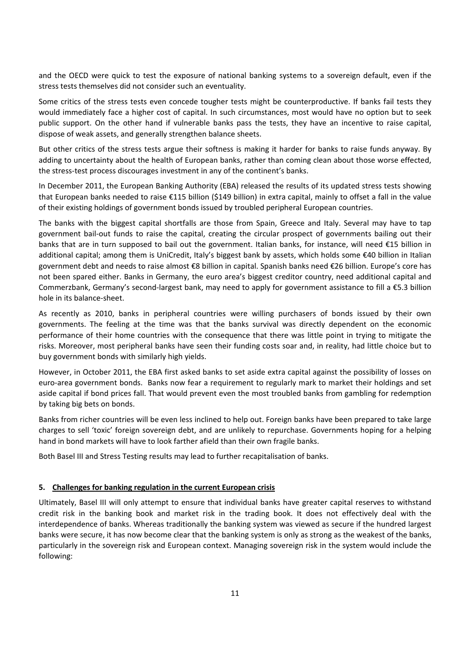and the OECD were quick to test the exposure of national banking systems to a sovereign default, even if the stress tests themselves did not consider such an eventuality.

Some critics of the stress tests even concede tougher tests might be counterproductive. If banks fail tests they would immediately face a higher cost of capital. In such circumstances, most would have no option but to seek public support. On the other hand if vulnerable banks pass the tests, they have an incentive to raise capital, dispose of weak assets, and generally strengthen balance sheets.

But other critics of the stress tests argue their softness is making it harder for banks to raise funds anyway. By adding to uncertainty about the health of European banks, rather than coming clean about those worse effected, the stress‐test process discourages investment in any of the continent's banks.

In December 2011, the European Banking Authority (EBA) released the results of its updated stress tests showing that European banks needed to raise €115 billion (\$149 billion) in extra capital, mainly to offset a fall in the value of their existing holdings of government bonds issued by troubled peripheral European countries.

The banks with the biggest capital shortfalls are those from Spain, Greece and Italy. Several may have to tap government bail‐out funds to raise the capital, creating the circular prospect of governments bailing out their banks that are in turn supposed to bail out the government. Italian banks, for instance, will need €15 billion in additional capital; among them is UniCredit, Italy's biggest bank by assets, which holds some €40 billion in Italian government debt and needs to raise almost €8 billion in capital. Spanish banks need €26 billion. Europe's core has not been spared either. Banks in Germany, the euro area's biggest creditor country, need additional capital and Commerzbank, Germany's second‐largest bank, may need to apply for government assistance to fill a €5.3 billion hole in its balance‐sheet.

As recently as 2010, banks in peripheral countries were willing purchasers of bonds issued by their own governments. The feeling at the time was that the banks survival was directly dependent on the economic performance of their home countries with the consequence that there was little point in trying to mitigate the risks. Moreover, most peripheral banks have seen their funding costs soar and, in reality, had little choice but to buy government bonds with similarly high yields.

However, in October 2011, the EBA first asked banks to set aside extra capital against the possibility of losses on euro-area government bonds. Banks now fear a requirement to regularly mark to market their holdings and set aside capital if bond prices fall. That would prevent even the most troubled banks from gambling for redemption by taking big bets on bonds.

Banks from richer countries will be even less inclined to help out. Foreign banks have been prepared to take large charges to sell 'toxic' foreign sovereign debt, and are unlikely to repurchase. Governments hoping for a helping hand in bond markets will have to look farther afield than their own fragile banks.

Both Basel III and Stress Testing results may lead to further recapitalisation of banks.

### **5. Challenges for banking regulation in the current European crisis**

Ultimately, Basel III will only attempt to ensure that individual banks have greater capital reserves to withstand credit risk in the banking book and market risk in the trading book. It does not effectively deal with the interdependence of banks. Whereas traditionally the banking system was viewed as secure if the hundred largest banks were secure, it has now become clear that the banking system is only as strong as the weakest of the banks, particularly in the sovereign risk and European context. Managing sovereign risk in the system would include the following: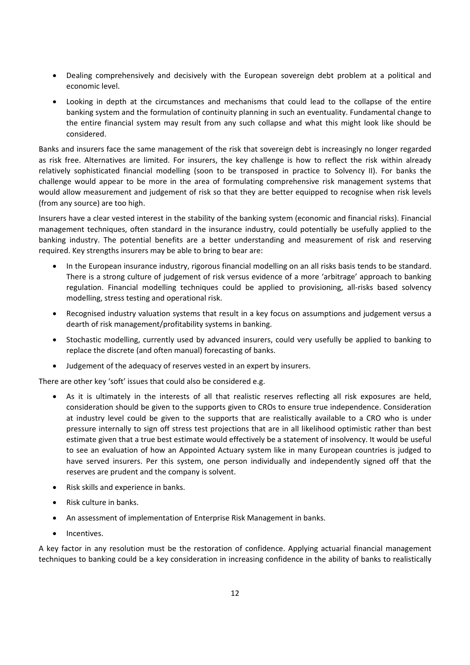- Dealing comprehensively and decisively with the European sovereign debt problem at a political and economic level.
- Looking in depth at the circumstances and mechanisms that could lead to the collapse of the entire banking system and the formulation of continuity planning in such an eventuality. Fundamental change to the entire financial system may result from any such collapse and what this might look like should be considered.

Banks and insurers face the same management of the risk that sovereign debt is increasingly no longer regarded as risk free. Alternatives are limited. For insurers, the key challenge is how to reflect the risk within already relatively sophisticated financial modelling (soon to be transposed in practice to Solvency II). For banks the challenge would appear to be more in the area of formulating comprehensive risk management systems that would allow measurement and judgement of risk so that they are better equipped to recognise when risk levels (from any source) are too high.

Insurers have a clear vested interest in the stability of the banking system (economic and financial risks). Financial management techniques, often standard in the insurance industry, could potentially be usefully applied to the banking industry. The potential benefits are a better understanding and measurement of risk and reserving required. Key strengths insurers may be able to bring to bear are:

- In the European insurance industry, rigorous financial modelling on an all risks basis tends to be standard. There is a strong culture of judgement of risk versus evidence of a more 'arbitrage' approach to banking regulation. Financial modelling techniques could be applied to provisioning, all-risks based solvency modelling, stress testing and operational risk.
- Recognised industry valuation systems that result in a key focus on assumptions and judgement versus a dearth of risk management/profitability systems in banking.
- Stochastic modelling, currently used by advanced insurers, could very usefully be applied to banking to replace the discrete (and often manual) forecasting of banks.
- Judgement of the adequacy of reserves vested in an expert by insurers.

There are other key 'soft' issues that could also be considered e.g.

- As it is ultimately in the interests of all that realistic reserves reflecting all risk exposures are held, consideration should be given to the supports given to CROs to ensure true independence. Consideration at industry level could be given to the supports that are realistically available to a CRO who is under pressure internally to sign off stress test projections that are in all likelihood optimistic rather than best estimate given that a true best estimate would effectively be a statement of insolvency. It would be useful to see an evaluation of how an Appointed Actuary system like in many European countries is judged to have served insurers. Per this system, one person individually and independently signed off that the reserves are prudent and the company is solvent.
- Risk skills and experience in banks.
- Risk culture in banks.
- An assessment of implementation of Enterprise Risk Management in banks.
- Incentives.

A key factor in any resolution must be the restoration of confidence. Applying actuarial financial management techniques to banking could be a key consideration in increasing confidence in the ability of banks to realistically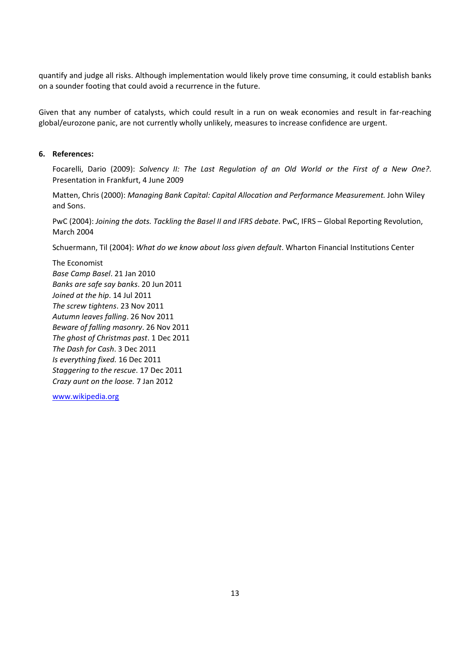quantify and judge all risks. Although implementation would likely prove time consuming, it could establish banks on a sounder footing that could avoid a recurrence in the future.

Given that any number of catalysts, which could result in a run on weak economies and result in far‐reaching global/eurozone panic, are not currently wholly unlikely, measures to increase confidence are urgent.

# **6. References:**

Focarelli, Dario (2009): *Solvency II: The Last Regulation of an Old World or the First of a New One?*. Presentation in Frankfurt, 4 June 2009

Matten, Chris (2000): *Managing Bank Capital: Capital Allocation and Performance Measurement.* John Wiley and Sons.

PwC (2004): *Joining the dots. Tackling the Basel II and IFRS debate*. PwC, IFRS – Global Reporting Revolution, March 2004

Schuermann, Til (2004): *What do we know about loss given default*. Wharton Financial Institutions Center

The Economist *Base Camp Basel*. 21 Jan 2010 *Banks are safe say banks*. 20 Jun 2011 *Joined at the hip*. 14 Jul 2011 *The screw tightens*. 23 Nov 2011 *Autumn leaves falling*. 26 Nov 2011 *Beware of falling masonry*. 26 Nov 2011 *The ghost of Christmas past*. 1 Dec 2011 *The Dash for Cash*. 3 Dec 2011 *Is everything fixed.* 16 Dec 2011 *Staggering to the rescue*. 17 Dec 2011 *Crazy aunt on the loose.* 7 Jan 2012

www.wikipedia.org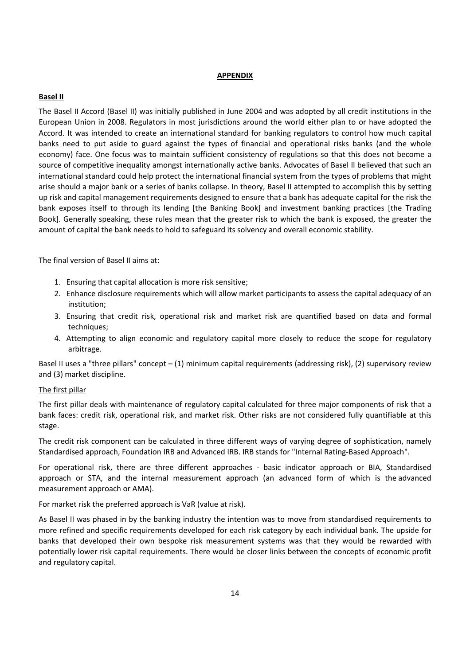### **APPENDIX**

### **Basel II**

The Basel II Accord (Basel II) was initially published in June 2004 and was adopted by all credit institutions in the European Union in 2008. Regulators in most jurisdictions around the world either plan to or have adopted the Accord. It was intended to create an international standard for banking regulators to control how much capital banks need to put aside to guard against the types of financial and operational risks banks (and the whole economy) face. One focus was to maintain sufficient consistency of regulations so that this does not become a source of competitive inequality amongst internationally active banks. Advocates of Basel II believed that such an international standard could help protect the international financial system from the types of problems that might arise should a major bank or a series of banks collapse. In theory, Basel II attempted to accomplish this by setting up risk and capital management requirements designed to ensure that a bank has adequate capital for the risk the bank exposes itself to through its lending [the Banking Book] and investment banking practices [the Trading Book]. Generally speaking, these rules mean that the greater risk to which the bank is exposed, the greater the amount of capital the bank needs to hold to safeguard its solvency and overall economic stability.

The final version of Basel II aims at:

- 1. Ensuring that capital allocation is more risk sensitive;
- 2. Enhance disclosure requirements which will allow market participants to assess the capital adequacy of an institution;
- 3. Ensuring that credit risk, operational risk and market risk are quantified based on data and formal techniques;
- 4. Attempting to align economic and regulatory capital more closely to reduce the scope for regulatory arbitrage.

Basel II uses a "three pillars" concept – (1) minimum capital requirements (addressing risk), (2) supervisory review and (3) market discipline.

### The first pillar

The first pillar deals with maintenance of regulatory capital calculated for three major components of risk that a bank faces: credit risk, operational risk, and market risk. Other risks are not considered fully quantifiable at this stage.

The credit risk component can be calculated in three different ways of varying degree of sophistication, namely Standardised approach, Foundation IRB and Advanced IRB. IRB stands for "Internal Rating‐Based Approach".

For operational risk, there are three different approaches - basic indicator approach or BIA, Standardised approach or STA, and the internal measurement approach (an advanced form of which is the advanced measurement approach or AMA).

For market risk the preferred approach is VaR (value at risk).

As Basel II was phased in by the banking industry the intention was to move from standardised requirements to more refined and specific requirements developed for each risk category by each individual bank. The upside for banks that developed their own bespoke risk measurement systems was that they would be rewarded with potentially lower risk capital requirements. There would be closer links between the concepts of economic profit and regulatory capital.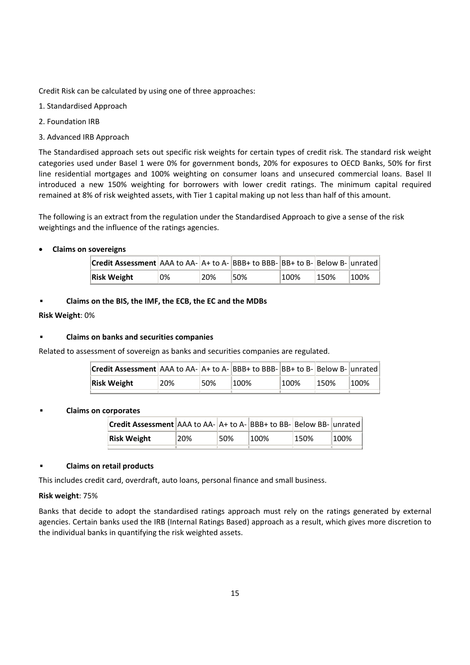Credit Risk can be calculated by using one of three approaches:

- 1. Standardised Approach
- 2. Foundation IRB
- 3. Advanced IRB Approach

The Standardised approach sets out specific risk weights for certain types of credit risk. The standard risk weight categories used under Basel 1 were 0% for government bonds, 20% for exposures to OECD Banks, 50% for first line residential mortgages and 100% weighting on consumer loans and unsecured commercial loans. Basel II introduced a new 150% weighting for borrowers with lower credit ratings. The minimum capital required remained at 8% of risk weighted assets, with Tier 1 capital making up not less than half of this amount.

The following is an extract from the regulation under the Standardised Approach to give a sense of the risk weightings and the influence of the ratings agencies.

### **Claims on sovereigns**

| <b>Credit Assessment</b> AAA to AA- $A$ + to A- BBB+ to BBB- BB+ to B- Below B- unrated |    |     |     |         |      |          |
|-----------------------------------------------------------------------------------------|----|-----|-----|---------|------|----------|
| <b>Risk Weight</b>                                                                      | 0% | 20% | 50% | $100\%$ | 150% | $ 100\%$ |

**Claims on the BIS, the IMF, the ECB, the EC and the MDBs**

### **Risk Weight**: 0%

### **Claims on banks and securities companies**

Related to assessment of sovereign as banks and securities companies are regulated.

| <b>Credit Assessment</b> $ AAA$ to $AA$ - $ A+$ to $A-$ <b>BBB+</b> to BBB- $ BB+$ to B- $ Below$ B- $ unrated $ |     |     |          |         |      |         |
|------------------------------------------------------------------------------------------------------------------|-----|-----|----------|---------|------|---------|
| Risk Weight                                                                                                      | 20% | 50% | $ 100\%$ | $100\%$ | 150% | $100\%$ |

### **Claims on corporates**

| Credit Assessment AAA to AA- A+ to A- BBB+ to BB- Below BB- unrated |     |      |      |      |      |
|---------------------------------------------------------------------|-----|------|------|------|------|
| Risk Weight                                                         | 20% | 150% | 100% | 150% | 100% |
|                                                                     |     |      |      |      |      |

### **Claims on retail products**

This includes credit card, overdraft, auto loans, personal finance and small business.

### **Risk weight**: 75%

Banks that decide to adopt the standardised ratings approach must rely on the ratings generated by external agencies. Certain banks used the IRB (Internal Ratings Based) approach as a result, which gives more discretion to the individual banks in quantifying the risk weighted assets.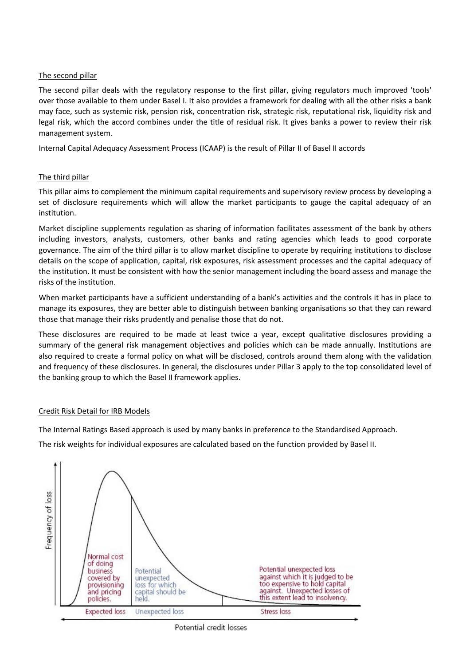# The second pillar

The second pillar deals with the regulatory response to the first pillar, giving regulators much improved 'tools' over those available to them under Basel I. It also provides a framework for dealing with all the other risks a bank may face, such as systemic risk, pension risk, concentration risk, strategic risk, reputational risk, liquidity risk and legal risk, which the accord combines under the title of residual risk. It gives banks a power to review their risk management system.

Internal Capital Adequacy Assessment Process (ICAAP) is the result of Pillar II of Basel II accords

# The third pillar

This pillar aims to complement the minimum capital requirements and supervisory review process by developing a set of disclosure requirements which will allow the market participants to gauge the capital adequacy of an institution.

Market discipline supplements regulation as sharing of information facilitates assessment of the bank by others including investors, analysts, customers, other banks and rating agencies which leads to good corporate governance. The aim of the third pillar is to allow market discipline to operate by requiring institutions to disclose details on the scope of application, capital, risk exposures, risk assessment processes and the capital adequacy of the institution. It must be consistent with how the senior management including the board assess and manage the risks of the institution.

When market participants have a sufficient understanding of a bank's activities and the controls it has in place to manage its exposures, they are better able to distinguish between banking organisations so that they can reward those that manage their risks prudently and penalise those that do not.

These disclosures are required to be made at least twice a year, except qualitative disclosures providing a summary of the general risk management objectives and policies which can be made annually. Institutions are also required to create a formal policy on what will be disclosed, controls around them along with the validation and frequency of these disclosures. In general, the disclosures under Pillar 3 apply to the top consolidated level of the banking group to which the Basel II framework applies.

# Credit Risk Detail for IRB Models

The Internal Ratings Based approach is used by many banks in preference to the Standardised Approach.

The risk weights for individual exposures are calculated based on the function provided by Basel II.



Potential credit losses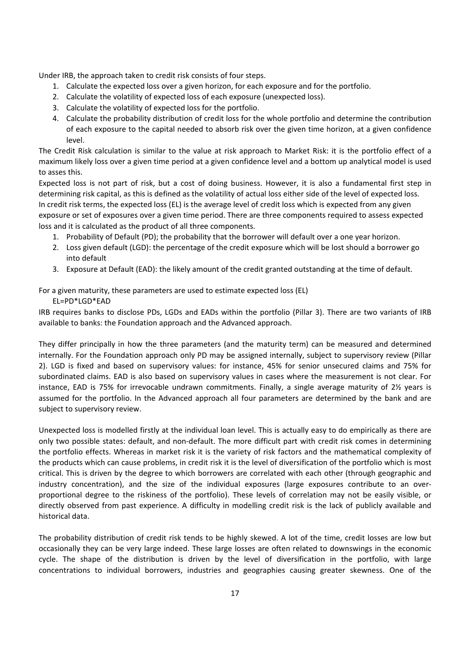Under IRB, the approach taken to credit risk consists of four steps.

- 1. Calculate the expected loss over a given horizon, for each exposure and for the portfolio.
- 2. Calculate the volatility of expected loss of each exposure (unexpected loss).
- 3. Calculate the volatility of expected loss for the portfolio.
- 4. Calculate the probability distribution of credit loss for the whole portfolio and determine the contribution of each exposure to the capital needed to absorb risk over the given time horizon, at a given confidence level.

The Credit Risk calculation is similar to the value at risk approach to Market Risk: it is the portfolio effect of a maximum likely loss over a given time period at a given confidence level and a bottom up analytical model is used to asses this.

Expected loss is not part of risk, but a cost of doing business. However, it is also a fundamental first step in determining risk capital, as this is defined as the volatility of actual loss either side of the level of expected loss. In credit risk terms, the expected loss (EL) is the average level of credit loss which is expected from any given exposure or set of exposures over a given time period. There are three components required to assess expected loss and it is calculated as the product of all three components.

- 1. Probability of Default (PD); the probability that the borrower will default over a one year horizon.
- 2. Loss given default (LGD): the percentage of the credit exposure which will be lost should a borrower go into default
- 3. Exposure at Default (EAD): the likely amount of the credit granted outstanding at the time of default.

For a given maturity, these parameters are used to estimate expected loss (EL)

EL=PD\*LGD\*EAD

IRB requires banks to disclose PDs, LGDs and EADs within the portfolio (Pillar 3). There are two variants of IRB available to banks: the Foundation approach and the Advanced approach.

They differ principally in how the three parameters (and the maturity term) can be measured and determined internally. For the Foundation approach only PD may be assigned internally, subject to supervisory review (Pillar 2). LGD is fixed and based on supervisory values: for instance, 45% for senior unsecured claims and 75% for subordinated claims. EAD is also based on supervisory values in cases where the measurement is not clear. For instance, EAD is 75% for irrevocable undrawn commitments. Finally, a single average maturity of 2½ years is assumed for the portfolio. In the Advanced approach all four parameters are determined by the bank and are subject to supervisory review.

Unexpected loss is modelled firstly at the individual loan level. This is actually easy to do empirically as there are only two possible states: default, and non‐default. The more difficult part with credit risk comes in determining the portfolio effects. Whereas in market risk it is the variety of risk factors and the mathematical complexity of the products which can cause problems, in credit risk it is the level of diversification of the portfolio which is most critical. This is driven by the degree to which borrowers are correlated with each other (through geographic and industry concentration), and the size of the individual exposures (large exposures contribute to an over‐ proportional degree to the riskiness of the portfolio). These levels of correlation may not be easily visible, or directly observed from past experience. A difficulty in modelling credit risk is the lack of publicly available and historical data.

The probability distribution of credit risk tends to be highly skewed. A lot of the time, credit losses are low but occasionally they can be very large indeed. These large losses are often related to downswings in the economic cycle. The shape of the distribution is driven by the level of diversification in the portfolio, with large concentrations to individual borrowers, industries and geographies causing greater skewness. One of the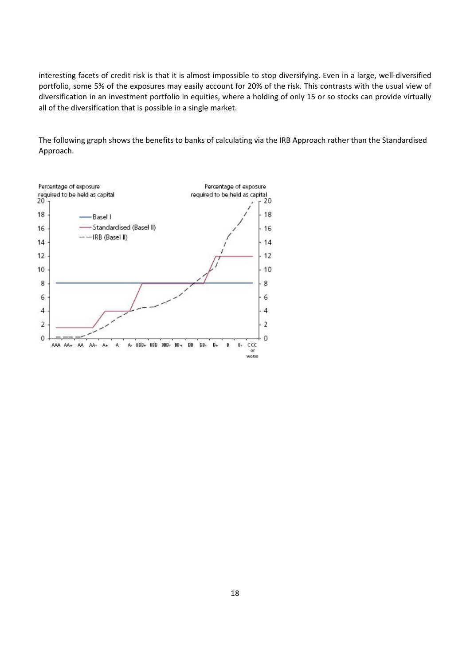interesting facets of credit risk is that it is almost impossible to stop diversifying. Even in a large, well-diversified portfolio, some 5% of the exposures may easily account for 20% of the risk. This contrasts with the usual view of diversification in an investment portfolio in equities, where a holding of only 15 or so stocks can provide virtually all of the diversification that is possible in a single market.

The following graph shows the benefits to banks of calculating via the IRB Approach rather than the Standardised Approach.

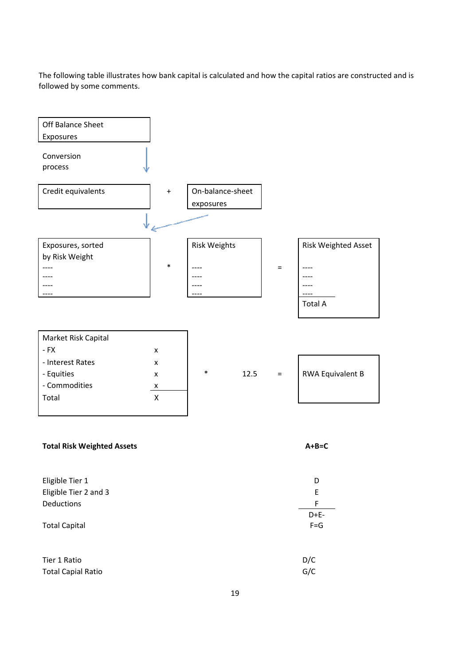The following table illustrates how bank capital is calculated and how the capital ratios are constructed and is followed by some comments.



# **Total Risk Weighted Assets A+B=C**

| Eligible Tier 1           | D       |
|---------------------------|---------|
| Eligible Tier 2 and 3     | E       |
| Deductions                | F       |
|                           | $D+E-$  |
| <b>Total Capital</b>      | $F = G$ |
|                           |         |
|                           |         |
| Tier 1 Ratio              | D/C     |
| <b>Total Capial Ratio</b> | G/C     |
|                           |         |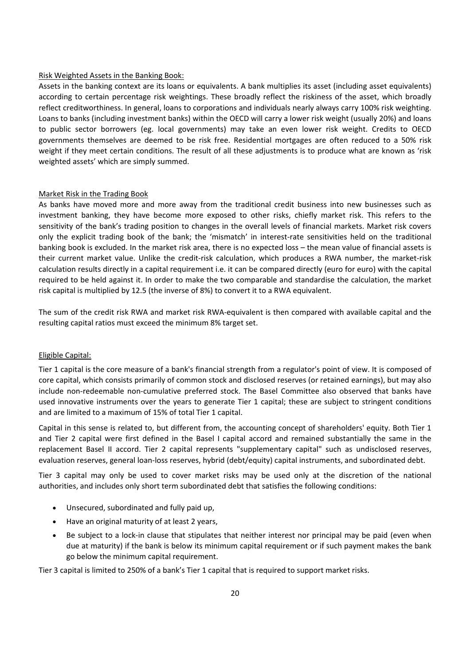### Risk Weighted Assets in the Banking Book:

Assets in the banking context are its loans or equivalents. A bank multiplies its asset (including asset equivalents) according to certain percentage risk weightings. These broadly reflect the riskiness of the asset, which broadly reflect creditworthiness. In general, loans to corporations and individuals nearly always carry 100% risk weighting. Loans to banks (including investment banks) within the OECD will carry a lower risk weight (usually 20%) and loans to public sector borrowers (eg. local governments) may take an even lower risk weight. Credits to OECD governments themselves are deemed to be risk free. Residential mortgages are often reduced to a 50% risk weight if they meet certain conditions. The result of all these adjustments is to produce what are known as 'risk weighted assets' which are simply summed.

#### Market Risk in the Trading Book

As banks have moved more and more away from the traditional credit business into new businesses such as investment banking, they have become more exposed to other risks, chiefly market risk. This refers to the sensitivity of the bank's trading position to changes in the overall levels of financial markets. Market risk covers only the explicit trading book of the bank; the 'mismatch' in interest-rate sensitivities held on the traditional banking book is excluded. In the market risk area, there is no expected loss – the mean value of financial assets is their current market value. Unlike the credit‐risk calculation, which produces a RWA number, the market‐risk calculation results directly in a capital requirement i.e. it can be compared directly (euro for euro) with the capital required to be held against it. In order to make the two comparable and standardise the calculation, the market risk capital is multiplied by 12.5 (the inverse of 8%) to convert it to a RWA equivalent.

The sum of the credit risk RWA and market risk RWA‐equivalent is then compared with available capital and the resulting capital ratios must exceed the minimum 8% target set.

#### Eligible Capital:

Tier 1 capital is the core measure of a bank's financial strength from a regulator's point of view. It is composed of core capital, which consists primarily of common stock and disclosed reserves (or retained earnings), but may also include non‐redeemable non‐cumulative preferred stock. The Basel Committee also observed that banks have used innovative instruments over the years to generate Tier 1 capital; these are subject to stringent conditions and are limited to a maximum of 15% of total Tier 1 capital.

Capital in this sense is related to, but different from, the accounting concept of shareholders' equity. Both Tier 1 and Tier 2 capital were first defined in the Basel I capital accord and remained substantially the same in the replacement Basel II accord. Tier 2 capital represents "supplementary capital" such as undisclosed reserves, evaluation reserves, general loan-loss reserves, hybrid (debt/equity) capital instruments, and subordinated debt.

Tier 3 capital may only be used to cover market risks may be used only at the discretion of the national authorities, and includes only short term subordinated debt that satisfies the following conditions:

- Unsecured, subordinated and fully paid up,
- Have an original maturity of at least 2 years,
- Be subject to a lock-in clause that stipulates that neither interest nor principal may be paid (even when due at maturity) if the bank is below its minimum capital requirement or if such payment makes the bank go below the minimum capital requirement.

Tier 3 capital is limited to 250% of a bank's Tier 1 capital that is required to support market risks.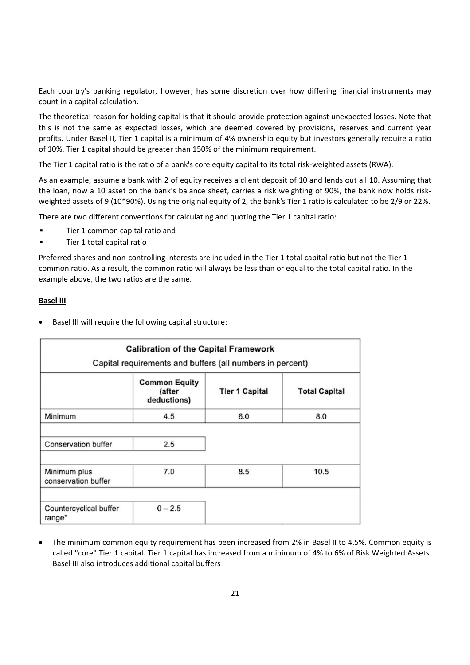Each country's banking regulator, however, has some discretion over how differing financial instruments may count in a capital calculation.

The theoretical reason for holding capital is that it should provide protection against unexpected losses. Note that this is not the same as expected losses, which are deemed covered by provisions, reserves and current year profits. Under Basel II, Tier 1 capital is a minimum of 4% ownership equity but investors generally require a ratio of 10%. Tier 1 capital should be greater than 150% of the minimum requirement.

The Tier 1 capital ratio is the ratio of a bank's core equity capital to its total risk‐weighted assets (RWA).

As an example, assume a bank with 2 of equity receives a client deposit of 10 and lends out all 10. Assuming that the loan, now a 10 asset on the bank's balance sheet, carries a risk weighting of 90%, the bank now holds risk‐ weighted assets of 9 (10\*90%). Using the original equity of 2, the bank's Tier 1 ratio is calculated to be 2/9 or 22%.

There are two different conventions for calculating and quoting the Tier 1 capital ratio:

- Tier 1 common capital ratio and
- Tier 1 total capital ratio

Preferred shares and non‐controlling interests are included in the Tier 1 total capital ratio but not the Tier 1 common ratio. As a result, the common ratio will always be less than or equal to the total capital ratio. In the example above, the two ratios are the same.

#### **Basel III**

Basel III will require the following capital structure:

|                                     | <b>Calibration of the Capital Framework</b><br>Capital requirements and buffers (all numbers in percent) |                       |                      |  |
|-------------------------------------|----------------------------------------------------------------------------------------------------------|-----------------------|----------------------|--|
|                                     | <b>Common Equity</b><br>(after<br>deductions)                                                            | <b>Tier 1 Capital</b> | <b>Total Capital</b> |  |
| Minimum                             | 4.5                                                                                                      | 6.0                   | 8.0                  |  |
| Conservation buffer                 | 2.5                                                                                                      |                       |                      |  |
| Minimum plus<br>conservation buffer | 7.0                                                                                                      | 8.5                   | 10.5                 |  |
| Countercyclical buffer<br>range*    | $0 - 2.5$                                                                                                |                       |                      |  |

• The minimum common equity requirement has been increased from 2% in Basel II to 4.5%. Common equity is called "core" Tier 1 capital. Tier 1 capital has increased from a minimum of 4% to 6% of Risk Weighted Assets. Basel III also introduces additional capital buffers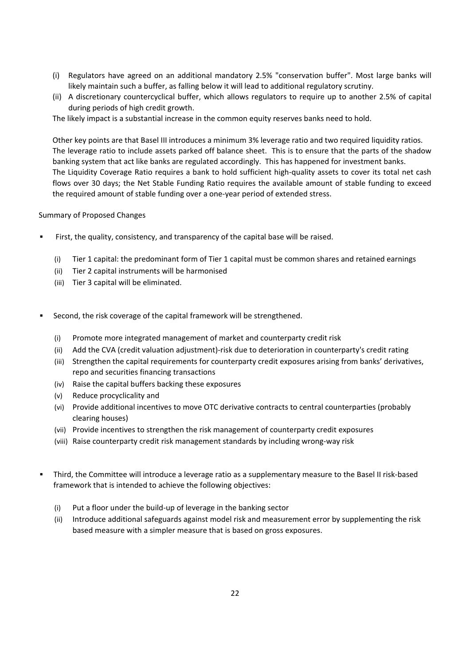- (i) Regulators have agreed on an additional mandatory 2.5% "conservation buffer". Most large banks will likely maintain such a buffer, as falling below it will lead to additional regulatory scrutiny.
- (ii) A discretionary countercyclical buffer, which allows regulators to require up to another 2.5% of capital during periods of high credit growth.

The likely impact is a substantial increase in the common equity reserves banks need to hold.

Other key points are that Basel III introduces a minimum 3% leverage ratio and two required liquidity ratios. The leverage ratio to include assets parked off balance sheet. This is to ensure that the parts of the shadow banking system that act like banks are regulated accordingly. This has happened for investment banks. The Liquidity Coverage Ratio requires a bank to hold sufficient high‐quality assets to cover its total net cash flows over 30 days; the Net Stable Funding Ratio requires the available amount of stable funding to exceed the required amount of stable funding over a one‐year period of extended stress.

### Summary of Proposed Changes

- First, the quality, consistency, and transparency of the capital base will be raised.
	- (i) Tier 1 capital: the predominant form of Tier 1 capital must be common shares and retained earnings
	- (ii) Tier 2 capital instruments will be harmonised
	- (iii) Tier 3 capital will be eliminated.
- Second, the risk coverage of the capital framework will be strengthened.
	- (i) Promote more integrated management of market and counterparty credit risk
	- (ii) Add the CVA (credit valuation adjustment)‐risk due to deterioration in counterparty's credit rating
	- (iii) Strengthen the capital requirements for counterparty credit exposures arising from banks' derivatives, repo and securities financing transactions
	- (iv) Raise the capital buffers backing these exposures
	- (v) Reduce procyclicality and
	- (vi) Provide additional incentives to move OTC derivative contracts to central counterparties (probably clearing houses)
	- (vii) Provide incentives to strengthen the risk management of counterparty credit exposures
	- (viii) Raise counterparty credit risk management standards by including wrong‐way risk
- Third, the Committee will introduce a leverage ratio as a supplementary measure to the Basel II risk‐based framework that is intended to achieve the following objectives:
	- (i) Put a floor under the build‐up of leverage in the banking sector
	- (ii) Introduce additional safeguards against model risk and measurement error by supplementing the risk based measure with a simpler measure that is based on gross exposures.